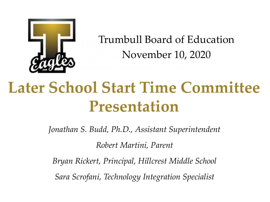

[Trumbull Board of Educa](http://www.trumbullps.org/ths/index.php)tion November 10, 2020

### **Later School Start Time Committee Presentation**

*Jonathan S. Budd, Ph.D., Assistant Superintendent*

*Robert Martini, Parent*

*Bryan Rickert, Principal, Hillcrest Middle School*

*Sara Scrofani, Technology Integration Specialist*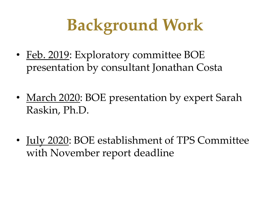# **Background Work**

- Feb. 2019: Exploratory committee BOE presentation by consultant Jonathan Costa
- March 2020: BOE presentation by expert Sarah Raskin, Ph.D.
- <u>July 2020</u>: BOE establishment of TPS Committee with November report deadline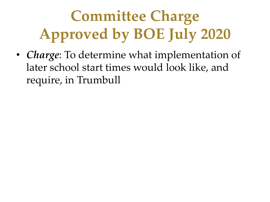## **Committee Charge Approved by BOE July 2020**

• *Charge*: To determine what implementation of later school start times would look like, and require, in Trumbull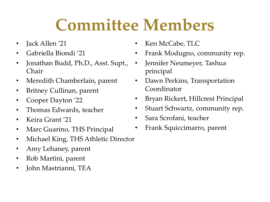### **Committee Members**

- Jack Allen '21
- Gabriella Biondi '21
- Jonathan Budd, Ph.D., Asst. Supt., Chair
- Meredith Chamberlain, parent
- Britney Cullinan, parent
- Cooper Dayton '22
- Thomas Edwards, teacher
- Keira Grant '21
- Marc Guarino, THS Principal
- Michael King, THS Athletic Director
- Amy Lehaney, parent
- Rob Martini, parent
- John Mastrianni, TEA
- Ken McCabe, TLC
- Frank Modugno, community rep.
- Jennifer Neumeyer, Tashua principal
- Dawn Perkins, Transportation Coordinator
- Bryan Rickert, Hillcrest Principal
- Stuart Schwartz, community rep.
- Sara Scrofani, teacher
- Frank Squiccimarro, parent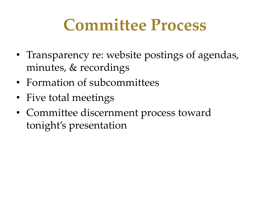### **Committee Process**

- Transparency re: website postings of agendas, minutes, & recordings
- Formation of subcommittees
- Five total meetings
- Committee discernment process toward tonight's presentation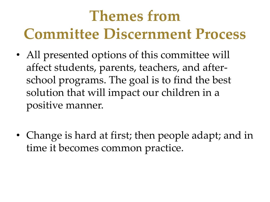### **Themes from Committee Discernment Process**

- All presented options of this committee will affect students, parents, teachers, and afterschool programs. The goal is to find the best solution that will impact our children in a positive manner.
- Change is hard at first; then people adapt; and in time it becomes common practice.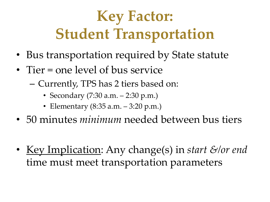### **Key Factor: Student Transportation**

- Bus transportation required by State statute
- Tier = one level of bus service
	- Currently, TPS has 2 tiers based on:
		- Secondary (7:30 a.m. 2:30 p.m.)
		- Elementary (8:35 a.m. 3:20 p.m.)
- 50 minutes *minimum* needed between bus tiers
- Key Implication: Any change(s) in *start &/or end*  time must meet transportation parameters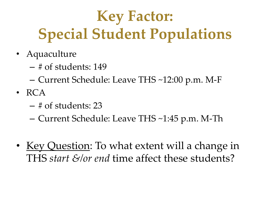### **Key Factor: Special Student Populations**

- Aquaculture
	- # of students: 149
	- Current Schedule: Leave THS ~12:00 p.m. M-F
- RCA
	- # of students: 23
	- Current Schedule: Leave THS ~1:45 p.m. M-Th
- Key Question: To what extent will a change in THS *start &/or end* time affect these students?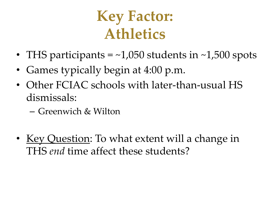#### **Key Factor: Athletics**

- THS participants  $=$  ~1,050 students in ~1,500 spots
- Games typically begin at 4:00 p.m.
- Other FCIAC schools with later-than-usual HS dismissals:
	- Greenwich & Wilton
- Key Question: To what extent will a change in THS *end* time affect these students?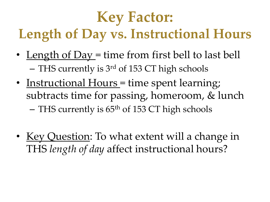### **Key Factor: Length of Day vs. Instructional Hours**

- Length of Day = time from first bell to last bell – THS currently is 3<sup>rd</sup> of 153 CT high schools
- Instructional Hours = time spent learning; subtracts time for passing, homeroom, & lunch – THS currently is 65<sup>th</sup> of 153 CT high schools
- Key Question: To what extent will a change in THS *length of day* affect instructional hours?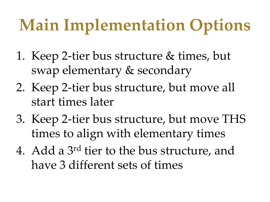# **Main Implementation Options**

- 1. Keep 2-tier bus structure & times, but swap elementary & secondary
- 2. Keep 2-tier bus structure, but move all start times later
- 3. Keep 2-tier bus structure, but move THS times to align with elementary times
- 4. Add a 3rd tier to the bus structure, and have 3 different sets of times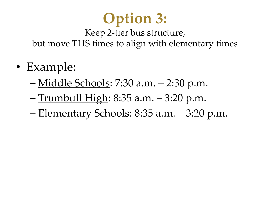### **Option 3:**

Keep 2-tier bus structure, but move THS times to align with elementary times

- Example:
	- Middle Schools: 7:30 a.m. 2:30 p.m.
	- Trumbull High: 8:35 a.m. 3:20 p.m.
	- Elementary Schools: 8:35 a.m. 3:20 p.m.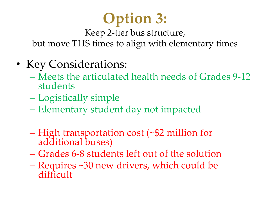### **Option 3:**

Keep 2-tier bus structure,

but move THS times to align with elementary times

- Key Considerations:
	- Meets the articulated health needs of Grades 9-12 students
	- Logistically simple
	- Elementary student day not impacted
	- High transportation cost (~\$2 million for additional buses)
	- Grades 6-8 students left out of the solution
	- Requires ~30 new drivers, which could be difficult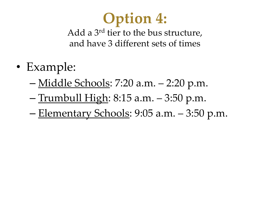### **Option 4:**

Add a 3rd tier to the bus structure, and have 3 different sets of times

- Example:
	- Middle Schools: 7:20 a.m. 2:20 p.m.
	- Trumbull High: 8:15 a.m. 3:50 p.m.
	- Elementary Schools: 9:05 a.m. 3:50 p.m.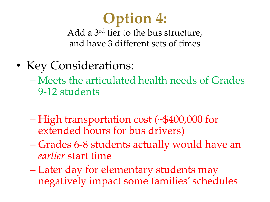### **Option 4:**

Add a 3rd tier to the bus structure, and have 3 different sets of times

• Key Considerations:

– Meets the articulated health needs of Grades 9-12 students

- High transportation cost (~\$400,000 for extended hours for bus drivers)
- Grades 6-8 students actually would have an *earlier* start time
- Later day for elementary students may negatively impact some families' schedules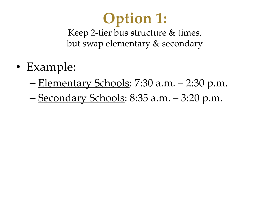### **Option 1:**

Keep 2-tier bus structure & times, but swap elementary & secondary

- Example:
	- Elementary Schools: 7:30 a.m. 2:30 p.m.
	- Secondary Schools: 8:35 a.m. 3:20 p.m.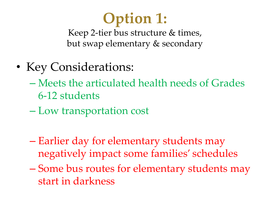### **Option 1:**

Keep 2-tier bus structure & times, but swap elementary & secondary

- Key Considerations:
	- Meets the articulated health needs of Grades 6-12 students
	- Low transportation cost
	- Earlier day for elementary students may negatively impact some families' schedules
	- Some bus routes for elementary students may start in darkness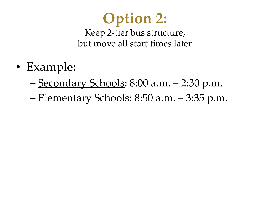### **Option 2:**

Keep 2-tier bus structure, but move all start times later

- Example:
	- Secondary Schools: 8:00 a.m. 2:30 p.m.
	- Elementary Schools: 8:50 a.m. 3:35 p.m.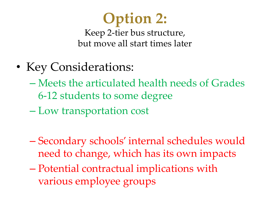### **Option 2:**

Keep 2-tier bus structure, but move all start times later

- Key Considerations:
	- Meets the articulated health needs of Grades 6-12 students to some degree
	- Low transportation cost
	- Secondary schools' internal schedules would need to change, which has its own impacts
	- Potential contractual implications with various employee groups